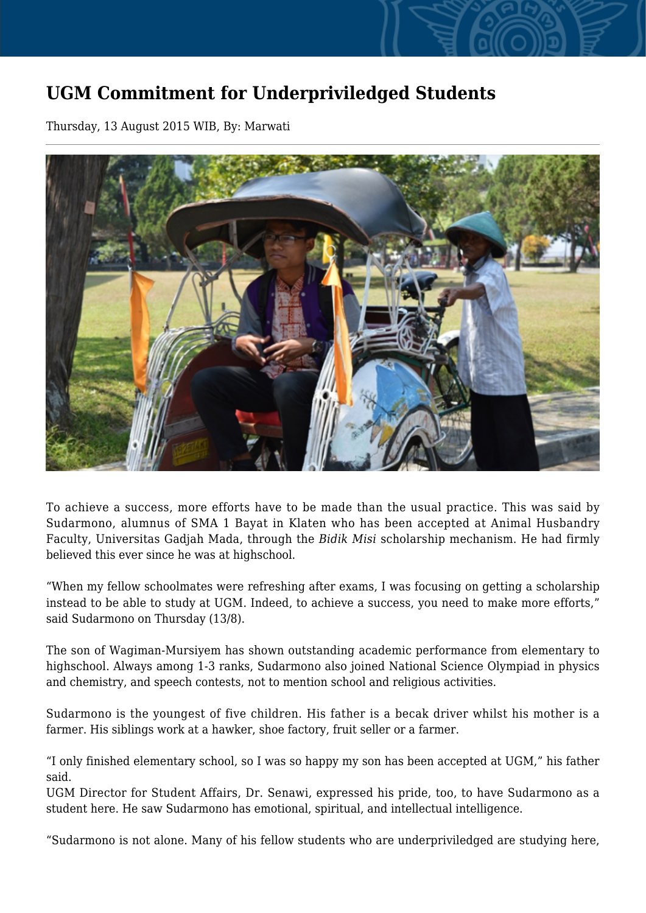## **UGM Commitment for Underpriviledged Students**

Thursday, 13 August 2015 WIB, By: Marwati



To achieve a success, more efforts have to be made than the usual practice. This was said by Sudarmono, alumnus of SMA 1 Bayat in Klaten who has been accepted at Animal Husbandry Faculty, Universitas Gadjah Mada, through the *Bidik Misi* scholarship mechanism. He had firmly believed this ever since he was at highschool.

"When my fellow schoolmates were refreshing after exams, I was focusing on getting a scholarship instead to be able to study at UGM. Indeed, to achieve a success, you need to make more efforts," said Sudarmono on Thursday (13/8).

The son of Wagiman-Mursiyem has shown outstanding academic performance from elementary to highschool. Always among 1-3 ranks, Sudarmono also joined National Science Olympiad in physics and chemistry, and speech contests, not to mention school and religious activities.

Sudarmono is the youngest of five children. His father is a becak driver whilst his mother is a farmer. His siblings work at a hawker, shoe factory, fruit seller or a farmer.

"I only finished elementary school, so I was so happy my son has been accepted at UGM," his father said.

UGM Director for Student Affairs, Dr. Senawi, expressed his pride, too, to have Sudarmono as a student here. He saw Sudarmono has emotional, spiritual, and intellectual intelligence.

"Sudarmono is not alone. Many of his fellow students who are underpriviledged are studying here,